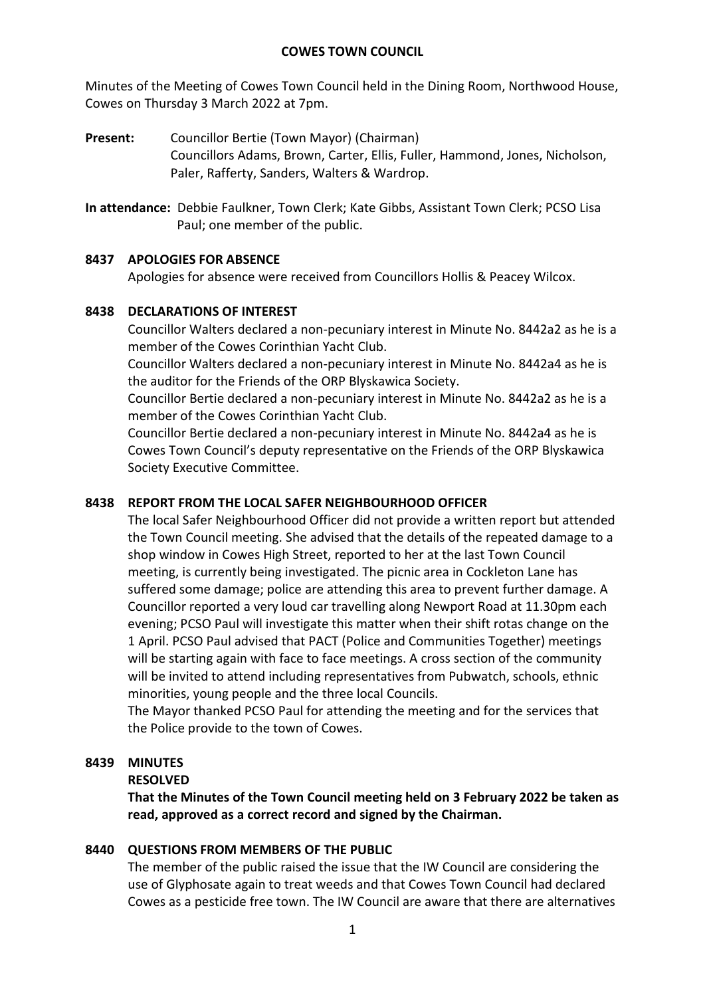Minutes of the Meeting of Cowes Town Council held in the Dining Room, Northwood House, Cowes on Thursday 3 March 2022 at 7pm.

- **Present:** Councillor Bertie (Town Mayor) (Chairman) Councillors Adams, Brown, Carter, Ellis, Fuller, Hammond, Jones, Nicholson, Paler, Rafferty, Sanders, Walters & Wardrop.
- **In attendance:** Debbie Faulkner, Town Clerk; Kate Gibbs, Assistant Town Clerk; PCSO Lisa Paul; one member of the public.

# **8437 APOLOGIES FOR ABSENCE**

Apologies for absence were received from Councillors Hollis & Peacey Wilcox.

# **8438 DECLARATIONS OF INTEREST**

Councillor Walters declared a non-pecuniary interest in Minute No. 8442a2 as he is a member of the Cowes Corinthian Yacht Club.

Councillor Walters declared a non-pecuniary interest in Minute No. 8442a4 as he is the auditor for the Friends of the ORP Blyskawica Society.

Councillor Bertie declared a non-pecuniary interest in Minute No. 8442a2 as he is a member of the Cowes Corinthian Yacht Club.

Councillor Bertie declared a non-pecuniary interest in Minute No. 8442a4 as he is Cowes Town Council's deputy representative on the Friends of the ORP Blyskawica Society Executive Committee.

# **8438 REPORT FROM THE LOCAL SAFER NEIGHBOURHOOD OFFICER**

The local Safer Neighbourhood Officer did not provide a written report but attended the Town Council meeting. She advised that the details of the repeated damage to a shop window in Cowes High Street, reported to her at the last Town Council meeting, is currently being investigated. The picnic area in Cockleton Lane has suffered some damage; police are attending this area to prevent further damage. A Councillor reported a very loud car travelling along Newport Road at 11.30pm each evening; PCSO Paul will investigate this matter when their shift rotas change on the 1 April. PCSO Paul advised that PACT (Police and Communities Together) meetings will be starting again with face to face meetings. A cross section of the community will be invited to attend including representatives from Pubwatch, schools, ethnic minorities, young people and the three local Councils.

The Mayor thanked PCSO Paul for attending the meeting and for the services that the Police provide to the town of Cowes.

# **8439 MINUTES**

# **RESOLVED**

**That the Minutes of the Town Council meeting held on 3 February 2022 be taken as read, approved as a correct record and signed by the Chairman.**

# **8440 QUESTIONS FROM MEMBERS OF THE PUBLIC**

The member of the public raised the issue that the IW Council are considering the use of Glyphosate again to treat weeds and that Cowes Town Council had declared Cowes as a pesticide free town. The IW Council are aware that there are alternatives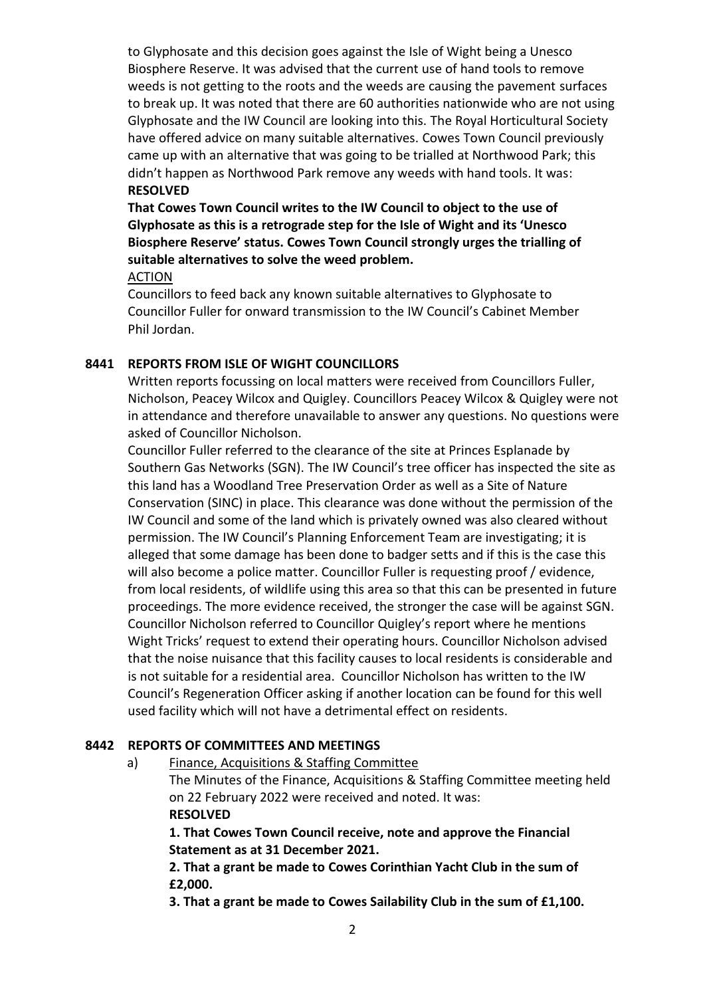to Glyphosate and this decision goes against the Isle of Wight being a Unesco Biosphere Reserve. It was advised that the current use of hand tools to remove weeds is not getting to the roots and the weeds are causing the pavement surfaces to break up. It was noted that there are 60 authorities nationwide who are not using Glyphosate and the IW Council are looking into this. The Royal Horticultural Society have offered advice on many suitable alternatives. Cowes Town Council previously came up with an alternative that was going to be trialled at Northwood Park; this didn't happen as Northwood Park remove any weeds with hand tools. It was: **RESOLVED**

**That Cowes Town Council writes to the IW Council to object to the use of Glyphosate as this is a retrograde step for the Isle of Wight and its 'Unesco Biosphere Reserve' status. Cowes Town Council strongly urges the trialling of suitable alternatives to solve the weed problem.** 

#### ACTION

Councillors to feed back any known suitable alternatives to Glyphosate to Councillor Fuller for onward transmission to the IW Council's Cabinet Member Phil Jordan.

### **8441 REPORTS FROM ISLE OF WIGHT COUNCILLORS**

Written reports focussing on local matters were received from Councillors Fuller, Nicholson, Peacey Wilcox and Quigley. Councillors Peacey Wilcox & Quigley were not in attendance and therefore unavailable to answer any questions. No questions were asked of Councillor Nicholson.

Councillor Fuller referred to the clearance of the site at Princes Esplanade by Southern Gas Networks (SGN). The IW Council's tree officer has inspected the site as this land has a Woodland Tree Preservation Order as well as a Site of Nature Conservation (SINC) in place. This clearance was done without the permission of the IW Council and some of the land which is privately owned was also cleared without permission. The IW Council's Planning Enforcement Team are investigating; it is alleged that some damage has been done to badger setts and if this is the case this will also become a police matter. Councillor Fuller is requesting proof / evidence, from local residents, of wildlife using this area so that this can be presented in future proceedings. The more evidence received, the stronger the case will be against SGN. Councillor Nicholson referred to Councillor Quigley's report where he mentions Wight Tricks' request to extend their operating hours. Councillor Nicholson advised that the noise nuisance that this facility causes to local residents is considerable and is not suitable for a residential area. Councillor Nicholson has written to the IW Council's Regeneration Officer asking if another location can be found for this well used facility which will not have a detrimental effect on residents.

### **8442 REPORTS OF COMMITTEES AND MEETINGS**

a) Finance, Acquisitions & Staffing Committee

The Minutes of the Finance, Acquisitions & Staffing Committee meeting held on 22 February 2022 were received and noted. It was: **RESOLVED**

**1. That Cowes Town Council receive, note and approve the Financial Statement as at 31 December 2021.**

**2. That a grant be made to Cowes Corinthian Yacht Club in the sum of £2,000.**

**3. That a grant be made to Cowes Sailability Club in the sum of £1,100.**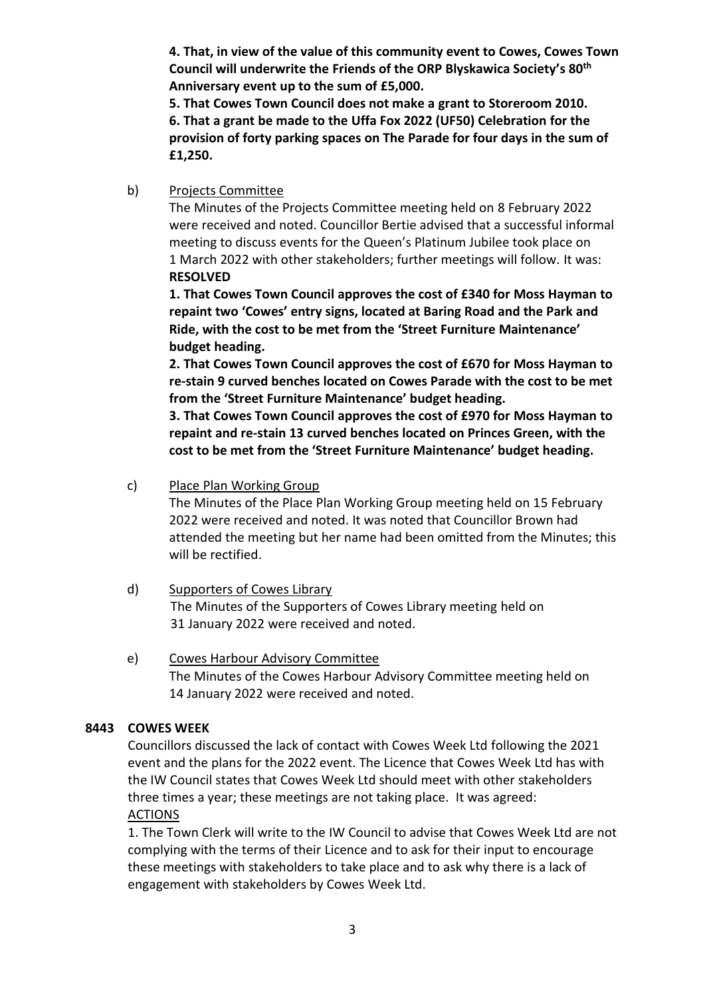**4. That, in view of the value of this community event to Cowes, Cowes Town Council will underwrite the Friends of the ORP Blyskawica Society's 80th Anniversary event up to the sum of £5,000.**

**5. That Cowes Town Council does not make a grant to Storeroom 2010. 6. That a grant be made to the Uffa Fox 2022 (UF50) Celebration for the provision of forty parking spaces on The Parade for four days in the sum of £1,250.**

b) Projects Committee

The Minutes of the Projects Committee meeting held on 8 February 2022 were received and noted. Councillor Bertie advised that a successful informal meeting to discuss events for the Queen's Platinum Jubilee took place on 1 March 2022 with other stakeholders; further meetings will follow. It was: **RESOLVED**

**1. That Cowes Town Council approves the cost of £340 for Moss Hayman to repaint two 'Cowes' entry signs, located at Baring Road and the Park and Ride, with the cost to be met from the 'Street Furniture Maintenance' budget heading.**

**2. That Cowes Town Council approves the cost of £670 for Moss Hayman to re-stain 9 curved benches located on Cowes Parade with the cost to be met from the 'Street Furniture Maintenance' budget heading.**

**3. That Cowes Town Council approves the cost of £970 for Moss Hayman to repaint and re-stain 13 curved benches located on Princes Green, with the cost to be met from the 'Street Furniture Maintenance' budget heading.**

### c) Place Plan Working Group

The Minutes of the Place Plan Working Group meeting held on 15 February 2022 were received and noted. It was noted that Councillor Brown had attended the meeting but her name had been omitted from the Minutes; this will be rectified.

d) Supporters of Cowes Library The Minutes of the Supporters of Cowes Library meeting held on 31 January 2022 were received and noted.

# e) Cowes Harbour Advisory Committee The Minutes of the Cowes Harbour Advisory Committee meeting held on 14 January 2022 were received and noted.

# **8443 COWES WEEK**

Councillors discussed the lack of contact with Cowes Week Ltd following the 2021 event and the plans for the 2022 event. The Licence that Cowes Week Ltd has with the IW Council states that Cowes Week Ltd should meet with other stakeholders three times a year; these meetings are not taking place. It was agreed: ACTIONS

1. The Town Clerk will write to the IW Council to advise that Cowes Week Ltd are not complying with the terms of their Licence and to ask for their input to encourage these meetings with stakeholders to take place and to ask why there is a lack of engagement with stakeholders by Cowes Week Ltd.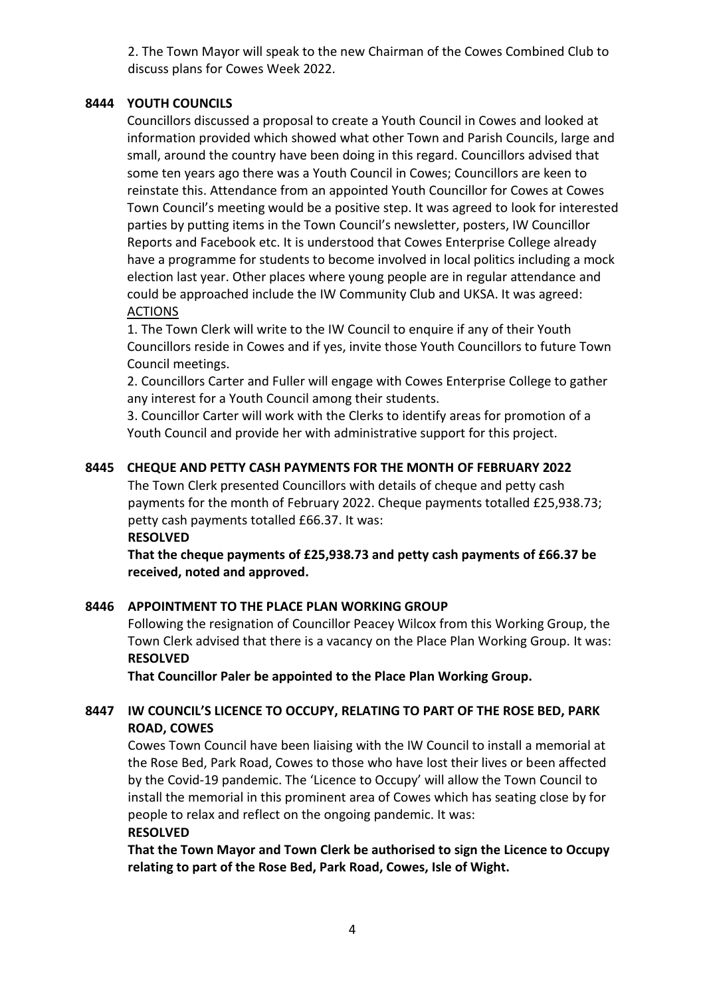2. The Town Mayor will speak to the new Chairman of the Cowes Combined Club to discuss plans for Cowes Week 2022.

### **8444 YOUTH COUNCILS**

Councillors discussed a proposal to create a Youth Council in Cowes and looked at information provided which showed what other Town and Parish Councils, large and small, around the country have been doing in this regard. Councillors advised that some ten years ago there was a Youth Council in Cowes; Councillors are keen to reinstate this. Attendance from an appointed Youth Councillor for Cowes at Cowes Town Council's meeting would be a positive step. It was agreed to look for interested parties by putting items in the Town Council's newsletter, posters, IW Councillor Reports and Facebook etc. It is understood that Cowes Enterprise College already have a programme for students to become involved in local politics including a mock election last year. Other places where young people are in regular attendance and could be approached include the IW Community Club and UKSA. It was agreed: **ACTIONS** 

1. The Town Clerk will write to the IW Council to enquire if any of their Youth Councillors reside in Cowes and if yes, invite those Youth Councillors to future Town Council meetings.

2. Councillors Carter and Fuller will engage with Cowes Enterprise College to gather any interest for a Youth Council among their students.

3. Councillor Carter will work with the Clerks to identify areas for promotion of a Youth Council and provide her with administrative support for this project.

### **8445 CHEQUE AND PETTY CASH PAYMENTS FOR THE MONTH OF FEBRUARY 2022**

The Town Clerk presented Councillors with details of cheque and petty cash payments for the month of February 2022. Cheque payments totalled £25,938.73; petty cash payments totalled £66.37. It was:

**RESOLVED**

**That the cheque payments of £25,938.73 and petty cash payments of £66.37 be received, noted and approved.**

### **8446 APPOINTMENT TO THE PLACE PLAN WORKING GROUP**

Following the resignation of Councillor Peacey Wilcox from this Working Group, the Town Clerk advised that there is a vacancy on the Place Plan Working Group. It was: **RESOLVED**

**That Councillor Paler be appointed to the Place Plan Working Group.**

# **8447 IW COUNCIL'S LICENCE TO OCCUPY, RELATING TO PART OF THE ROSE BED, PARK ROAD, COWES**

Cowes Town Council have been liaising with the IW Council to install a memorial at the Rose Bed, Park Road, Cowes to those who have lost their lives or been affected by the Covid-19 pandemic. The 'Licence to Occupy' will allow the Town Council to install the memorial in this prominent area of Cowes which has seating close by for people to relax and reflect on the ongoing pandemic. It was:

### **RESOLVED**

**That the Town Mayor and Town Clerk be authorised to sign the Licence to Occupy relating to part of the Rose Bed, Park Road, Cowes, Isle of Wight.**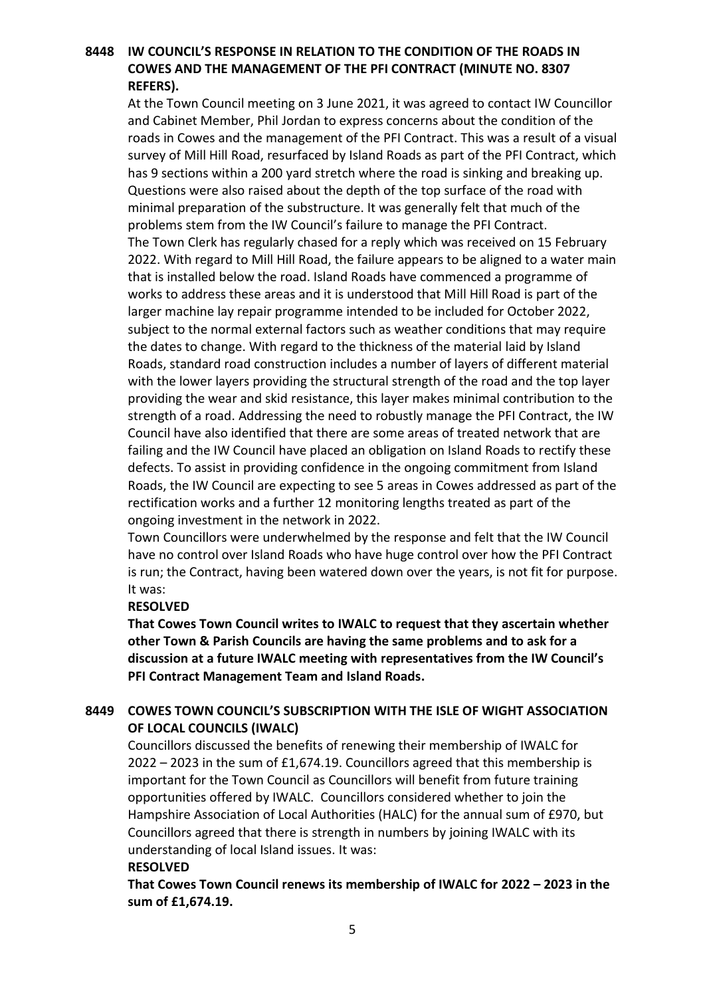# **8448 IW COUNCIL'S RESPONSE IN RELATION TO THE CONDITION OF THE ROADS IN COWES AND THE MANAGEMENT OF THE PFI CONTRACT (MINUTE NO. 8307 REFERS).**

At the Town Council meeting on 3 June 2021, it was agreed to contact IW Councillor and Cabinet Member, Phil Jordan to express concerns about the condition of the roads in Cowes and the management of the PFI Contract. This was a result of a visual survey of Mill Hill Road, resurfaced by Island Roads as part of the PFI Contract, which has 9 sections within a 200 yard stretch where the road is sinking and breaking up. Questions were also raised about the depth of the top surface of the road with minimal preparation of the substructure. It was generally felt that much of the problems stem from the IW Council's failure to manage the PFI Contract. The Town Clerk has regularly chased for a reply which was received on 15 February 2022. With regard to Mill Hill Road, the failure appears to be aligned to a water main that is installed below the road. Island Roads have commenced a programme of works to address these areas and it is understood that Mill Hill Road is part of the larger machine lay repair programme intended to be included for October 2022, subject to the normal external factors such as weather conditions that may require the dates to change. With regard to the thickness of the material laid by Island Roads, standard road construction includes a number of layers of different material with the lower layers providing the structural strength of the road and the top layer providing the wear and skid resistance, this layer makes minimal contribution to the strength of a road. Addressing the need to robustly manage the PFI Contract, the IW Council have also identified that there are some areas of treated network that are failing and the IW Council have placed an obligation on Island Roads to rectify these defects. To assist in providing confidence in the ongoing commitment from Island Roads, the IW Council are expecting to see 5 areas in Cowes addressed as part of the rectification works and a further 12 monitoring lengths treated as part of the ongoing investment in the network in 2022.

Town Councillors were underwhelmed by the response and felt that the IW Council have no control over Island Roads who have huge control over how the PFI Contract is run; the Contract, having been watered down over the years, is not fit for purpose. It was:

### **RESOLVED**

**That Cowes Town Council writes to IWALC to request that they ascertain whether other Town & Parish Councils are having the same problems and to ask for a discussion at a future IWALC meeting with representatives from the IW Council's PFI Contract Management Team and Island Roads.**

# **8449 COWES TOWN COUNCIL'S SUBSCRIPTION WITH THE ISLE OF WIGHT ASSOCIATION OF LOCAL COUNCILS (IWALC)**

Councillors discussed the benefits of renewing their membership of IWALC for 2022 – 2023 in the sum of £1,674.19. Councillors agreed that this membership is important for the Town Council as Councillors will benefit from future training opportunities offered by IWALC. Councillors considered whether to join the Hampshire Association of Local Authorities (HALC) for the annual sum of £970, but Councillors agreed that there is strength in numbers by joining IWALC with its understanding of local Island issues. It was:

### **RESOLVED**

**That Cowes Town Council renews its membership of IWALC for 2022 – 2023 in the sum of £1,674.19.**